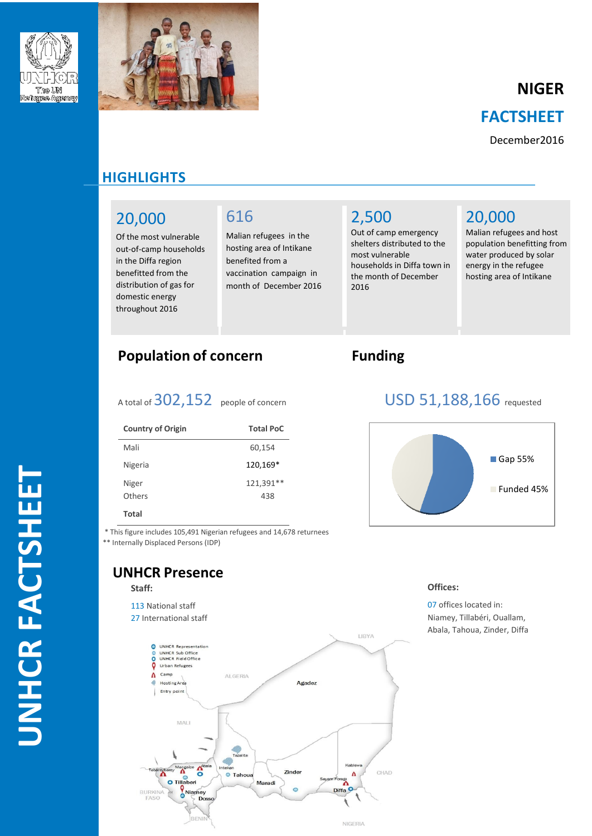



# **NIGER FACTSHEET**

December2016

## **HI HIGHLIGHTS**

## 20,000

Of the most vulnerable out-of-camp households in the Diffa region benefitted from the distribution of gas for domestic energy throughout 2016

## 616

Malian refugees in the hosting area of Intikane benefited from a vaccination campaign in month of December 2016

# 2,500

Out of camp emergency shelters distributed to the most vulnerable households in Diffa town in the month of December 2016

## 20,000

Malian refugees and host population benefitting from water produced by solar energy in the refugee hosting area of Intikane

## **Population of concern Funding**

A total of 302,152 people of concern USD 51,188,166 requested

| <b>Country of Origin</b> | <b>Total PoC</b> |
|--------------------------|------------------|
| Mali                     | 60,154           |
| Nigeria                  | 120,169*         |
| Niger<br>Others          | 121,391**<br>438 |

#### **Total**

\* This figure includes 105,491 Nigerian refugees and 14,678 returnees

\*\* Internally Displaced Persons (IDP)

### **UNHCR Presence**

#### **Staff:**

113 National staff 27 International staff





#### **Offices:**

07 offices located in: Niamey, Tillabéri, Ouallam, Abala, Tahoua, Zinder, Diffa



# **UNHCR FAC TSHEET**